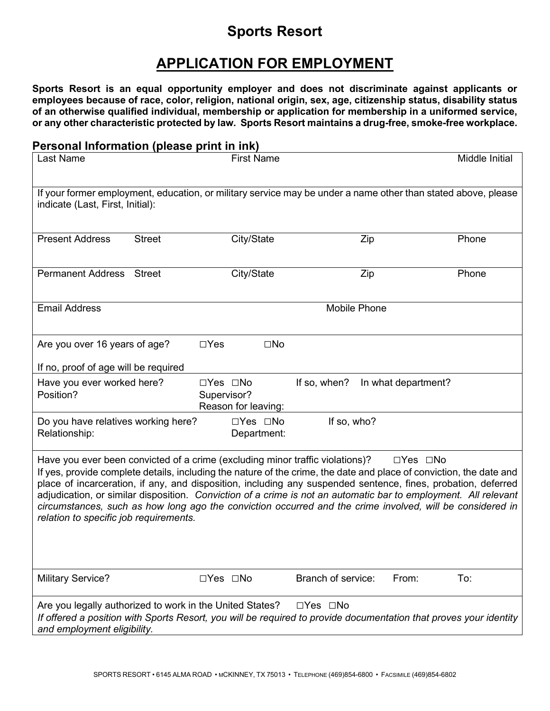# **Sports Resort**

# **APPLICATION FOR EMPLOYMENT**

**Sports Resort is an equal opportunity employer and does not discriminate against applicants or employees because of race, color, religion, national origin, sex, age, citizenship status, disability status of an otherwise qualified individual, membership or application for membership in a uniformed service, or any other characteristic protected by law. Sports Resort maintains a drug-free, smoke-free workplace.**

### **Personal Information (please print in ink)**

| Last Name                                                                                                                                                                                                                                                                                                                                                                                                                                                                                                                                                                                                               | <b>First Name</b>                                          |                                     | Middle Initial |  |
|-------------------------------------------------------------------------------------------------------------------------------------------------------------------------------------------------------------------------------------------------------------------------------------------------------------------------------------------------------------------------------------------------------------------------------------------------------------------------------------------------------------------------------------------------------------------------------------------------------------------------|------------------------------------------------------------|-------------------------------------|----------------|--|
| If your former employment, education, or military service may be under a name other than stated above, please<br>indicate (Last, First, Initial):                                                                                                                                                                                                                                                                                                                                                                                                                                                                       |                                                            |                                     |                |  |
| <b>Present Address</b><br><b>Street</b>                                                                                                                                                                                                                                                                                                                                                                                                                                                                                                                                                                                 | City/State                                                 | Zip                                 | Phone          |  |
| <b>Permanent Address</b><br><b>Street</b>                                                                                                                                                                                                                                                                                                                                                                                                                                                                                                                                                                               | City/State                                                 | Zip                                 | Phone          |  |
| <b>Email Address</b>                                                                                                                                                                                                                                                                                                                                                                                                                                                                                                                                                                                                    |                                                            | Mobile Phone                        |                |  |
| Are you over 16 years of age?                                                                                                                                                                                                                                                                                                                                                                                                                                                                                                                                                                                           | $\Box$ Yes<br>$\square$ No                                 |                                     |                |  |
| If no, proof of age will be required                                                                                                                                                                                                                                                                                                                                                                                                                                                                                                                                                                                    |                                                            |                                     |                |  |
| Have you ever worked here?<br>Position?                                                                                                                                                                                                                                                                                                                                                                                                                                                                                                                                                                                 | $\Box$ Yes $\Box$ No<br>Supervisor?<br>Reason for leaving: | If so, when?<br>In what department? |                |  |
| Do you have relatives working here?<br>Relationship:                                                                                                                                                                                                                                                                                                                                                                                                                                                                                                                                                                    | □Yes □No<br>Department:                                    | If so, who?                         |                |  |
| Have you ever been convicted of a crime (excluding minor traffic violations)?<br>$\Box$ Yes $\Box$ No<br>If yes, provide complete details, including the nature of the crime, the date and place of conviction, the date and<br>place of incarceration, if any, and disposition, including any suspended sentence, fines, probation, deferred<br>adjudication, or similar disposition. Conviction of a crime is not an automatic bar to employment. All relevant<br>circumstances, such as how long ago the conviction occurred and the crime involved, will be considered in<br>relation to specific job requirements. |                                                            |                                     |                |  |
| <b>Military Service?</b>                                                                                                                                                                                                                                                                                                                                                                                                                                                                                                                                                                                                | $\Box$ Yes $\Box$ No                                       | Branch of service:<br>From:         | To:            |  |
| □Yes □No<br>Are you legally authorized to work in the United States?<br>If offered a position with Sports Resort, you will be required to provide documentation that proves your identity<br>and employment eligibility.                                                                                                                                                                                                                                                                                                                                                                                                |                                                            |                                     |                |  |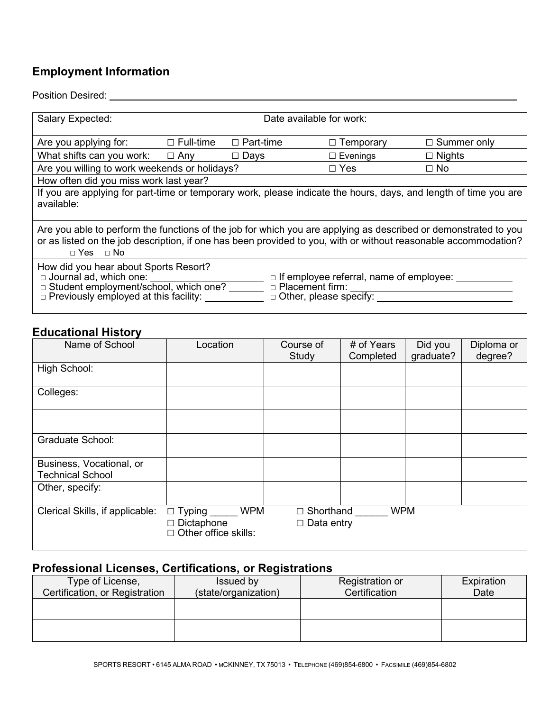# **Employment Information**

### Position Desired: University of the University of the University of the University of the University of the University of the University of the University of the University of the University of the University of the Univer

| Salary Expected:                                                                                                                                                                                                                                                                  | Date available for work: |                  |                  |                    |
|-----------------------------------------------------------------------------------------------------------------------------------------------------------------------------------------------------------------------------------------------------------------------------------|--------------------------|------------------|------------------|--------------------|
| Are you applying for:                                                                                                                                                                                                                                                             | $\Box$ Full-time         | $\Box$ Part-time | $\Box$ Temporary | $\Box$ Summer only |
| What shifts can you work: $\Box$ Any                                                                                                                                                                                                                                              |                          | $\square$ Days   | $\Box$ Evenings  | $\Box$ Nights      |
| Are you willing to work weekends or holidays?                                                                                                                                                                                                                                     |                          |                  | $\Box$ Yes       | $\Box$ No          |
| How often did you miss work last year?                                                                                                                                                                                                                                            |                          |                  |                  |                    |
| If you are applying for part-time or temporary work, please indicate the hours, days, and length of time you are<br>available:                                                                                                                                                    |                          |                  |                  |                    |
| Are you able to perform the functions of the job for which you are applying as described or demonstrated to you<br>or as listed on the job description, if one has been provided to you, with or without reasonable accommodation?<br>$\Box$ Yes $\Box$ No                        |                          |                  |                  |                    |
| How did you hear about Sports Resort?<br>□ Journal ad, which one:<br>$\Box$ If employee referral, name of employee: $\Box$<br>□ Placement firm:<br>□ Student employment/school, which one?<br>$\Box$ Other, please specify:<br>p Previously employed at this facility: vertically |                          |                  |                  |                    |

## **Educational History**

| Name of School                                      | Location                                                                        | Course of<br>Study                  | # of Years<br>Completed | Did you<br>graduate? | Diploma or<br>degree? |
|-----------------------------------------------------|---------------------------------------------------------------------------------|-------------------------------------|-------------------------|----------------------|-----------------------|
| High School:                                        |                                                                                 |                                     |                         |                      |                       |
| Colleges:                                           |                                                                                 |                                     |                         |                      |                       |
|                                                     |                                                                                 |                                     |                         |                      |                       |
| <b>Graduate School:</b>                             |                                                                                 |                                     |                         |                      |                       |
| Business, Vocational, or<br><b>Technical School</b> |                                                                                 |                                     |                         |                      |                       |
| Other, specify:                                     |                                                                                 |                                     |                         |                      |                       |
| Clerical Skills, if applicable:                     | <b>WPM</b><br>$\Box$ Typing<br>$\Box$ Dictaphone<br>$\Box$ Other office skills: | Shorthand<br>П<br>$\Box$ Data entry | <b>WPM</b>              |                      |                       |

## **Professional Licenses, Certifications, or Registrations**

| Issued by | Registration or      | Expiration    |
|-----------|----------------------|---------------|
|           |                      | Date          |
|           |                      |               |
|           |                      |               |
|           |                      |               |
|           |                      |               |
|           | (state/organization) | Certification |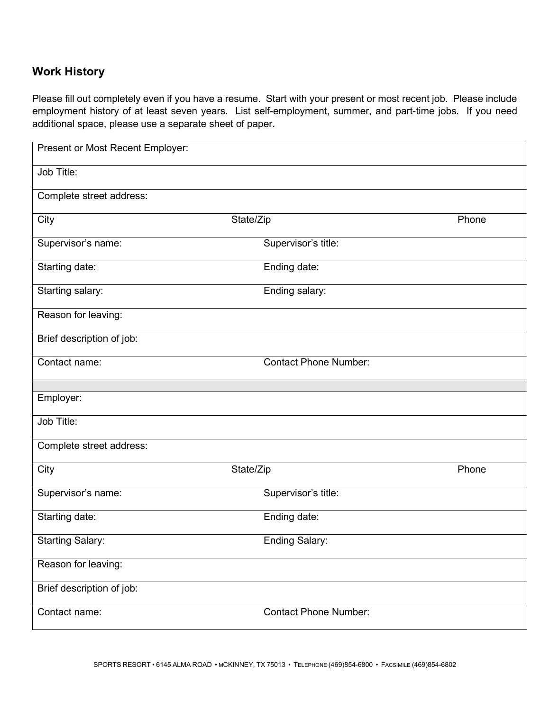## **Work History**

Please fill out completely even if you have a resume. Start with your present or most recent job. Please include employment history of at least seven years. List self-employment, summer, and part-time jobs. If you need additional space, please use a separate sheet of paper.

| Present or Most Recent Employer: |                              |       |
|----------------------------------|------------------------------|-------|
| Job Title:                       |                              |       |
| Complete street address:         |                              |       |
| City                             | State/Zip                    | Phone |
| Supervisor's name:               | Supervisor's title:          |       |
| Starting date:                   | Ending date:                 |       |
| Starting salary:                 | Ending salary:               |       |
| Reason for leaving:              |                              |       |
| Brief description of job:        |                              |       |
| Contact name:                    | <b>Contact Phone Number:</b> |       |
|                                  |                              |       |
| Employer:                        |                              |       |
| Job Title:                       |                              |       |
| Complete street address:         |                              |       |
| City                             | State/Zip                    | Phone |
| Supervisor's name:               | Supervisor's title:          |       |
| Starting date:                   | Ending date:                 |       |
| <b>Starting Salary:</b>          | <b>Ending Salary:</b>        |       |
| Reason for leaving:              |                              |       |
| Brief description of job:        |                              |       |
| Contact name:                    | <b>Contact Phone Number:</b> |       |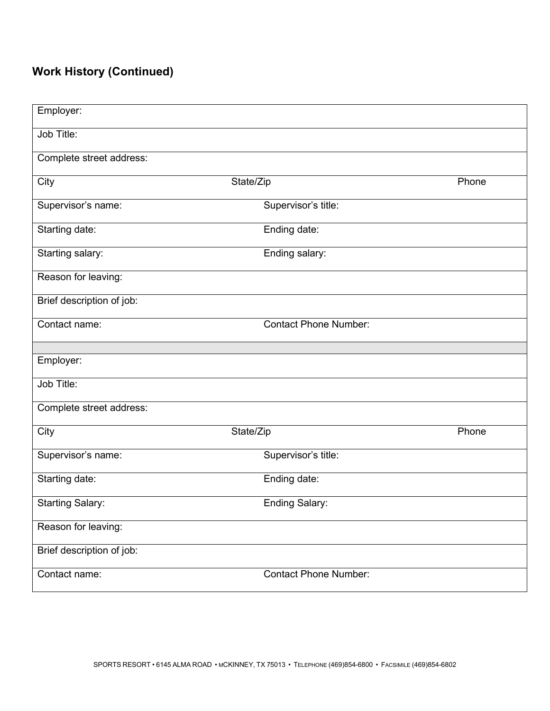# **Work History (Continued)**

| Employer:                 |                              |       |
|---------------------------|------------------------------|-------|
| Job Title:                |                              |       |
| Complete street address:  |                              |       |
| City                      | State/Zip                    | Phone |
| Supervisor's name:        | Supervisor's title:          |       |
| Starting date:            | Ending date:                 |       |
| Starting salary:          | Ending salary:               |       |
| Reason for leaving:       |                              |       |
| Brief description of job: |                              |       |
| Contact name:             | <b>Contact Phone Number:</b> |       |
|                           |                              |       |
| Employer:                 |                              |       |
| Job Title:                |                              |       |
| Complete street address:  |                              |       |
| City                      | State/Zip                    | Phone |
| Supervisor's name:        | Supervisor's title:          |       |
| Starting date:            | Ending date:                 |       |
| <b>Starting Salary:</b>   | <b>Ending Salary:</b>        |       |
| Reason for leaving:       |                              |       |
| Brief description of job: |                              |       |
|                           |                              |       |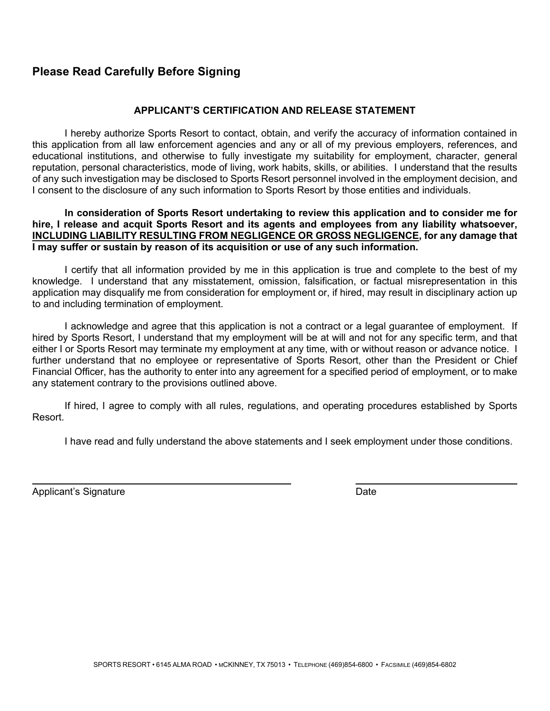## **Please Read Carefully Before Signing**

### **APPLICANT'S CERTIFICATION AND RELEASE STATEMENT**

I hereby authorize Sports Resort to contact, obtain, and verify the accuracy of information contained in this application from all law enforcement agencies and any or all of my previous employers, references, and educational institutions, and otherwise to fully investigate my suitability for employment, character, general reputation, personal characteristics, mode of living, work habits, skills, or abilities. I understand that the results of any such investigation may be disclosed to Sports Resort personnel involved in the employment decision, and I consent to the disclosure of any such information to Sports Resort by those entities and individuals.

#### **In consideration of Sports Resort undertaking to review this application and to consider me for hire, I release and acquit Sports Resort and its agents and employees from any liability whatsoever, INCLUDING LIABILITY RESULTING FROM NEGLIGENCE OR GROSS NEGLIGENCE, for any damage that I may suffer or sustain by reason of its acquisition or use of any such information.**

I certify that all information provided by me in this application is true and complete to the best of my knowledge. I understand that any misstatement, omission, falsification, or factual misrepresentation in this application may disqualify me from consideration for employment or, if hired, may result in disciplinary action up to and including termination of employment.

I acknowledge and agree that this application is not a contract or a legal guarantee of employment. If hired by Sports Resort, I understand that my employment will be at will and not for any specific term, and that either I or Sports Resort may terminate my employment at any time, with or without reason or advance notice. I further understand that no employee or representative of Sports Resort, other than the President or Chief Financial Officer, has the authority to enter into any agreement for a specified period of employment, or to make any statement contrary to the provisions outlined above.

If hired, I agree to comply with all rules, regulations, and operating procedures established by Sports Resort.

I have read and fully understand the above statements and I seek employment under those conditions.

Applicant's Signature **Date** Date of **Contract Contract Contract Contract Contract Contract Contract Contract Contract Contract Contract Contract Contract Contract Contract Contract Contract Contract Contract Contract Cont**